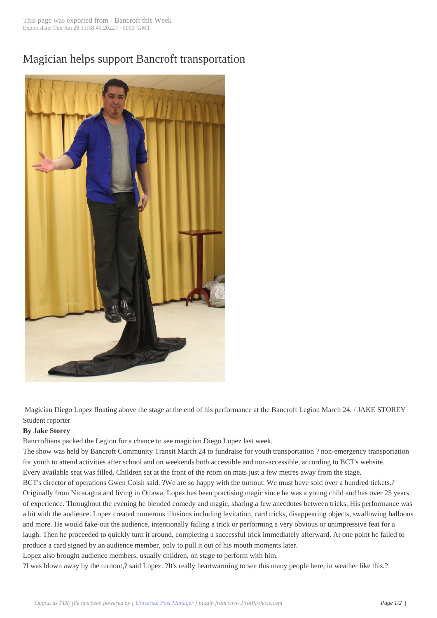## Magician helps sup[port Bancrof](http://www.bancroftthisweek.com/?p=7725)t transportation



Magician Diego Lopez floating above the stage at the end of his performance at the Bancroft Legion March 24. / JAKE STOREY Student reporter

## **By Jake Storey**

Bancroftians packed the Legion for a chance to see magician Diego Lopez last week.

The show was held by Bancroft Community Transit March 24 to fundraise for youth transportation ? non-emergency transportation for youth to attend activities after school and on weekends both accessible and non-accessible, according to BCT's website. Every available seat was filled. Children sat at the front of the room on mats just a few metres away from the stage.

BCT's director of operations Gwen Coish said, ?We are so happy with the turnout. We must have sold over a hundred tickets.? Originally from Nicaragua and living in Ottawa, Lopez has been practising magic since he was a young child and has over 25 years of experience. Throughout the evening he blended comedy and magic, sharing a few anecdotes between tricks. His performance was a hit with the audience. Lopez created numerous illusions including levitation, card tricks, disappearing objects, swallowing balloons and more. He would fake-out the audience, intentionally failing a trick or performing a very obvious or unimpressive feat for a laugh. Then he proceeded to quickly turn it around, completing a successful trick immediately afterward. At one point he failed to produce a card signed by an audience member, only to pull it out of his mouth moments later.

Lopez also brought audience members, usually children, on stage to perform with him.

?I was blown away by the turnout,? said Lopez. ?It's really heartwarming to see this many people here, in weather like this.?